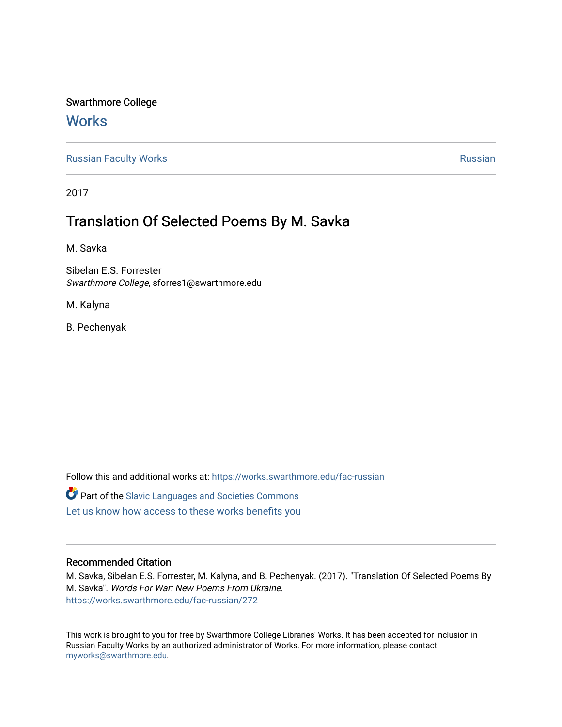## Swarthmore College

## **Works**

[Russian Faculty Works](https://works.swarthmore.edu/fac-russian) **Russian** [Russian](https://works.swarthmore.edu/russian) Russian Russian

2017

## Translation Of Selected Poems By M. Savka

M. Savka

Sibelan E.S. Forrester Swarthmore College, sforres1@swarthmore.edu

M. Kalyna

B. Pechenyak

Follow this and additional works at: [https://works.swarthmore.edu/fac-russian](https://works.swarthmore.edu/fac-russian?utm_source=works.swarthmore.edu%2Ffac-russian%2F272&utm_medium=PDF&utm_campaign=PDFCoverPages) 

**C** Part of the Slavic Languages and Societies Commons

[Let us know how access to these works benefits you](https://forms.gle/4MB8mE2GywC5965J8) 

## Recommended Citation

M. Savka, Sibelan E.S. Forrester, M. Kalyna, and B. Pechenyak. (2017). "Translation Of Selected Poems By M. Savka". Words For War: New Poems From Ukraine. <https://works.swarthmore.edu/fac-russian/272>

This work is brought to you for free by Swarthmore College Libraries' Works. It has been accepted for inclusion in Russian Faculty Works by an authorized administrator of Works. For more information, please contact [myworks@swarthmore.edu.](mailto:myworks@swarthmore.edu)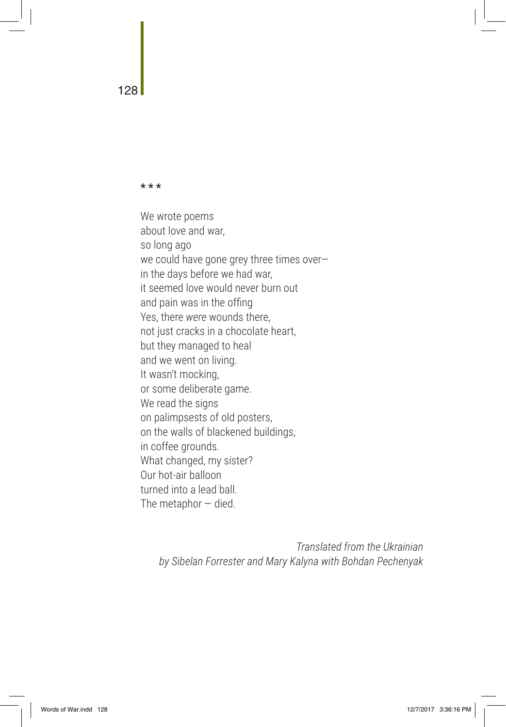**\* \* \***

We wrote poems about love and war, so long ago we could have gone grey three times over in the days before we had war, it seemed love would never burn out and pain was in the offing Yes, there *were* wounds there, not just cracks in a chocolate heart, but they managed to heal and we went on living. It wasn't mocking, or some deliberate game. We read the signs on palimpsests of old posters, on the walls of blackened buildings, in coffee grounds. What changed, my sister? Our hot-air balloon turned into a lead ball. The metaphor  $-$  died.

*Translated from the Ukrainian by Sibelan Forrester and Mary Kalyna with Bohdan Pechenyak* 

128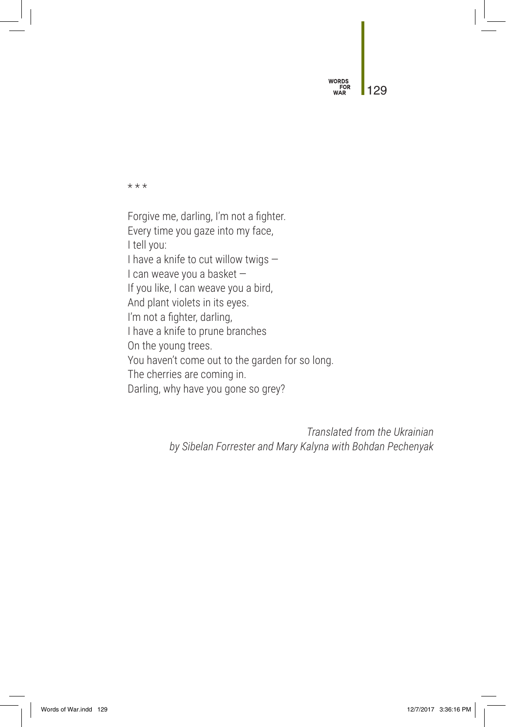**WORDS**<br>FOR<br>WAR 129

\* \* \*

Forgive me, darling, I'm not a fighter. Every time you gaze into my face, I tell you: I have a knife to cut willow twigs — I can weave you a basket — If you like, I can weave you a bird, And plant violets in its eyes. I'm not a fighter, darling, I have a knife to prune branches On the young trees. You haven't come out to the garden for so long. The cherries are coming in. Darling, why have you gone so grey?

> *Translated from the Ukrainian by Sibelan Forrester and Mary Kalyna with Bohdan Pechenyak*